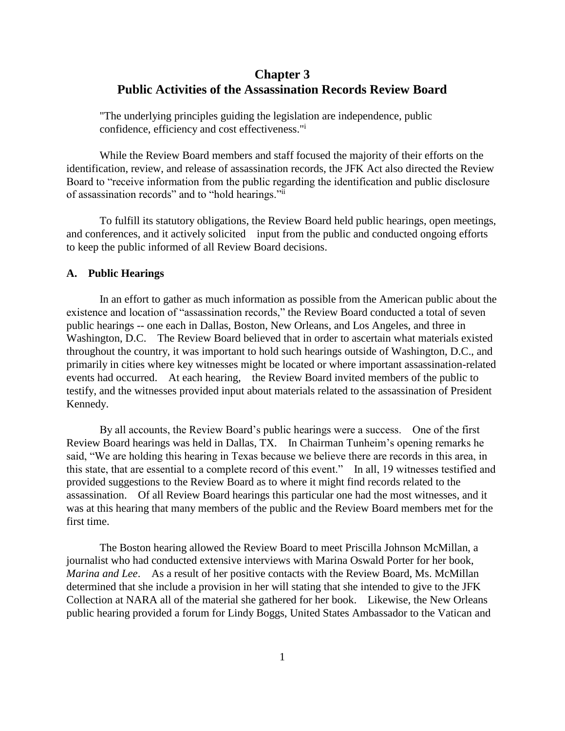## **Chapter 3 Public Activities of the Assassination Records Review Board**

"The underlying principles guiding the legislation are independence, public confidence, efficiency and cost effectiveness."<sup>i</sup>

While the Review Board members and staff focused the majority of their efforts on the identification, review, and release of assassination records, the JFK Act also directed the Review Board to "receive information from the public regarding the identification and public disclosure of assassination records" and to "hold hearings."ii

To fulfill its statutory obligations, the Review Board held public hearings, open meetings, and conferences, and it actively solicited input from the public and conducted ongoing efforts to keep the public informed of all Review Board decisions.

### **A. Public Hearings**

In an effort to gather as much information as possible from the American public about the existence and location of "assassination records," the Review Board conducted a total of seven public hearings -- one each in Dallas, Boston, New Orleans, and Los Angeles, and three in Washington, D.C. The Review Board believed that in order to ascertain what materials existed throughout the country, it was important to hold such hearings outside of Washington, D.C., and primarily in cities where key witnesses might be located or where important assassination-related events had occurred. At each hearing, the Review Board invited members of the public to testify, and the witnesses provided input about materials related to the assassination of President Kennedy.

By all accounts, the Review Board's public hearings were a success. One of the first Review Board hearings was held in Dallas, TX. In Chairman Tunheim's opening remarks he said, "We are holding this hearing in Texas because we believe there are records in this area, in this state, that are essential to a complete record of this event." In all, 19 witnesses testified and provided suggestions to the Review Board as to where it might find records related to the assassination. Of all Review Board hearings this particular one had the most witnesses, and it was at this hearing that many members of the public and the Review Board members met for the first time.

The Boston hearing allowed the Review Board to meet Priscilla Johnson McMillan, a journalist who had conducted extensive interviews with Marina Oswald Porter for her book, *Marina and Lee*. As a result of her positive contacts with the Review Board, Ms. McMillan determined that she include a provision in her will stating that she intended to give to the JFK Collection at NARA all of the material she gathered for her book. Likewise, the New Orleans public hearing provided a forum for Lindy Boggs, United States Ambassador to the Vatican and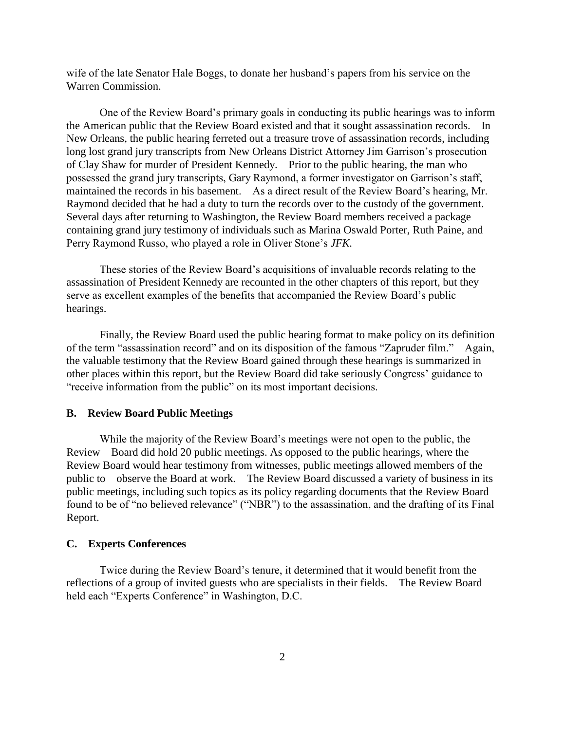wife of the late Senator Hale Boggs, to donate her husband's papers from his service on the Warren Commission.

One of the Review Board's primary goals in conducting its public hearings was to inform the American public that the Review Board existed and that it sought assassination records. In New Orleans, the public hearing ferreted out a treasure trove of assassination records, including long lost grand jury transcripts from New Orleans District Attorney Jim Garrison's prosecution of Clay Shaw for murder of President Kennedy. Prior to the public hearing, the man who possessed the grand jury transcripts, Gary Raymond, a former investigator on Garrison's staff, maintained the records in his basement. As a direct result of the Review Board's hearing, Mr. Raymond decided that he had a duty to turn the records over to the custody of the government. Several days after returning to Washington, the Review Board members received a package containing grand jury testimony of individuals such as Marina Oswald Porter, Ruth Paine, and Perry Raymond Russo, who played a role in Oliver Stone's *JFK.*

These stories of the Review Board's acquisitions of invaluable records relating to the assassination of President Kennedy are recounted in the other chapters of this report, but they serve as excellent examples of the benefits that accompanied the Review Board's public hearings.

Finally, the Review Board used the public hearing format to make policy on its definition of the term "assassination record" and on its disposition of the famous "Zapruder film." Again, the valuable testimony that the Review Board gained through these hearings is summarized in other places within this report, but the Review Board did take seriously Congress' guidance to "receive information from the public" on its most important decisions.

#### **B. Review Board Public Meetings**

While the majority of the Review Board's meetings were not open to the public, the Review Board did hold 20 public meetings. As opposed to the public hearings, where the Review Board would hear testimony from witnesses, public meetings allowed members of the public to observe the Board at work. The Review Board discussed a variety of business in its public meetings, including such topics as its policy regarding documents that the Review Board found to be of "no believed relevance" ("NBR") to the assassination, and the drafting of its Final Report.

#### **C. Experts Conferences**

Twice during the Review Board's tenure, it determined that it would benefit from the reflections of a group of invited guests who are specialists in their fields. The Review Board held each "Experts Conference" in Washington, D.C.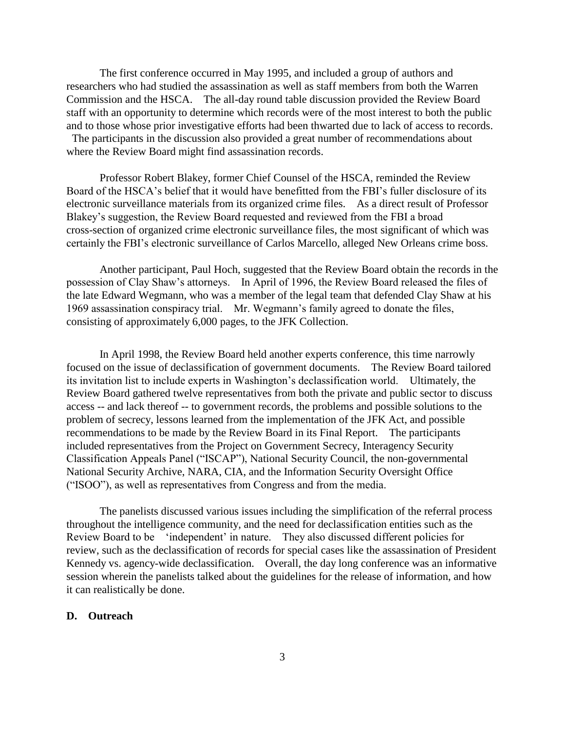The first conference occurred in May 1995, and included a group of authors and researchers who had studied the assassination as well as staff members from both the Warren Commission and the HSCA. The all-day round table discussion provided the Review Board staff with an opportunity to determine which records were of the most interest to both the public and to those whose prior investigative efforts had been thwarted due to lack of access to records. The participants in the discussion also provided a great number of recommendations about

where the Review Board might find assassination records.

Professor Robert Blakey, former Chief Counsel of the HSCA, reminded the Review Board of the HSCA's belief that it would have benefitted from the FBI's fuller disclosure of its electronic surveillance materials from its organized crime files. As a direct result of Professor Blakey's suggestion, the Review Board requested and reviewed from the FBI a broad cross-section of organized crime electronic surveillance files, the most significant of which was certainly the FBI's electronic surveillance of Carlos Marcello, alleged New Orleans crime boss.

Another participant, Paul Hoch, suggested that the Review Board obtain the records in the possession of Clay Shaw's attorneys. In April of 1996, the Review Board released the files of the late Edward Wegmann, who was a member of the legal team that defended Clay Shaw at his 1969 assassination conspiracy trial. Mr. Wegmann's family agreed to donate the files, consisting of approximately 6,000 pages, to the JFK Collection.

In April 1998, the Review Board held another experts conference, this time narrowly focused on the issue of declassification of government documents. The Review Board tailored its invitation list to include experts in Washington's declassification world. Ultimately, the Review Board gathered twelve representatives from both the private and public sector to discuss access -- and lack thereof -- to government records, the problems and possible solutions to the problem of secrecy, lessons learned from the implementation of the JFK Act, and possible recommendations to be made by the Review Board in its Final Report. The participants included representatives from the Project on Government Secrecy, Interagency Security Classification Appeals Panel ("ISCAP"), National Security Council, the non-governmental National Security Archive, NARA, CIA, and the Information Security Oversight Office ("ISOO"), as well as representatives from Congress and from the media.

The panelists discussed various issues including the simplification of the referral process throughout the intelligence community, and the need for declassification entities such as the Review Board to be 'independent' in nature. They also discussed different policies for review, such as the declassification of records for special cases like the assassination of President Kennedy vs. agency-wide declassification. Overall, the day long conference was an informative session wherein the panelists talked about the guidelines for the release of information, and how it can realistically be done.

#### **D. Outreach**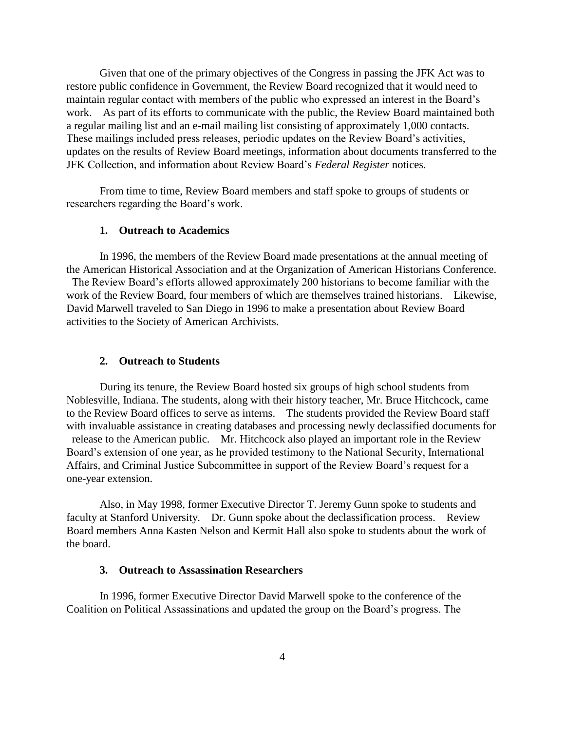Given that one of the primary objectives of the Congress in passing the JFK Act was to restore public confidence in Government, the Review Board recognized that it would need to maintain regular contact with members of the public who expressed an interest in the Board's work. As part of its efforts to communicate with the public, the Review Board maintained both a regular mailing list and an e-mail mailing list consisting of approximately 1,000 contacts. These mailings included press releases, periodic updates on the Review Board's activities, updates on the results of Review Board meetings, information about documents transferred to the JFK Collection, and information about Review Board's *Federal Register* notices.

From time to time, Review Board members and staff spoke to groups of students or researchers regarding the Board's work.

#### **1. Outreach to Academics**

In 1996, the members of the Review Board made presentations at the annual meeting of the American Historical Association and at the Organization of American Historians Conference.

The Review Board's efforts allowed approximately 200 historians to become familiar with the work of the Review Board, four members of which are themselves trained historians. Likewise, David Marwell traveled to San Diego in 1996 to make a presentation about Review Board activities to the Society of American Archivists.

#### **2. Outreach to Students**

During its tenure, the Review Board hosted six groups of high school students from Noblesville, Indiana. The students, along with their history teacher, Mr. Bruce Hitchcock, came to the Review Board offices to serve as interns. The students provided the Review Board staff with invaluable assistance in creating databases and processing newly declassified documents for release to the American public. Mr. Hitchcock also played an important role in the Review Board's extension of one year, as he provided testimony to the National Security, International Affairs, and Criminal Justice Subcommittee in support of the Review Board's request for a one-year extension.

Also, in May 1998, former Executive Director T. Jeremy Gunn spoke to students and faculty at Stanford University. Dr. Gunn spoke about the declassification process. Review Board members Anna Kasten Nelson and Kermit Hall also spoke to students about the work of the board.

## **3. Outreach to Assassination Researchers**

In 1996, former Executive Director David Marwell spoke to the conference of the Coalition on Political Assassinations and updated the group on the Board's progress. The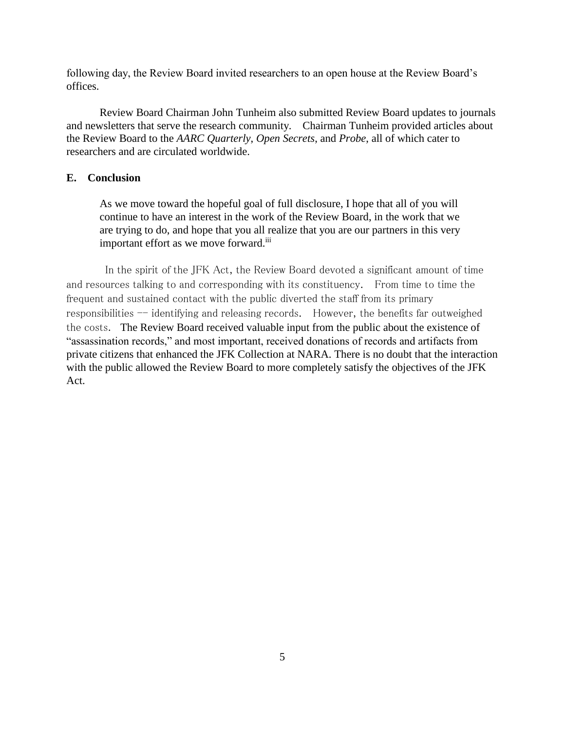following day, the Review Board invited researchers to an open house at the Review Board's offices.

Review Board Chairman John Tunheim also submitted Review Board updates to journals and newsletters that serve the research community. Chairman Tunheim provided articles about the Review Board to the *AARC Quarterly*, *Open Secrets*, and *Probe*, all of which cater to researchers and are circulated worldwide.

## **E. Conclusion**

As we move toward the hopeful goal of full disclosure, I hope that all of you will continue to have an interest in the work of the Review Board, in the work that we are trying to do, and hope that you all realize that you are our partners in this very important effort as we move forward.<sup>iii</sup>

In the spirit of the JFK Act, the Review Board devoted a significant amount of time and resources talking to and corresponding with its constituency. From time to time the frequent and sustained contact with the public diverted the staff from its primary responsibilities  $-$  identifying and releasing records. However, the benefits far outweighed the costs. The Review Board received valuable input from the public about the existence of "assassination records," and most important, received donations of records and artifacts from private citizens that enhanced the JFK Collection at NARA. There is no doubt that the interaction with the public allowed the Review Board to more completely satisfy the objectives of the JFK Act.